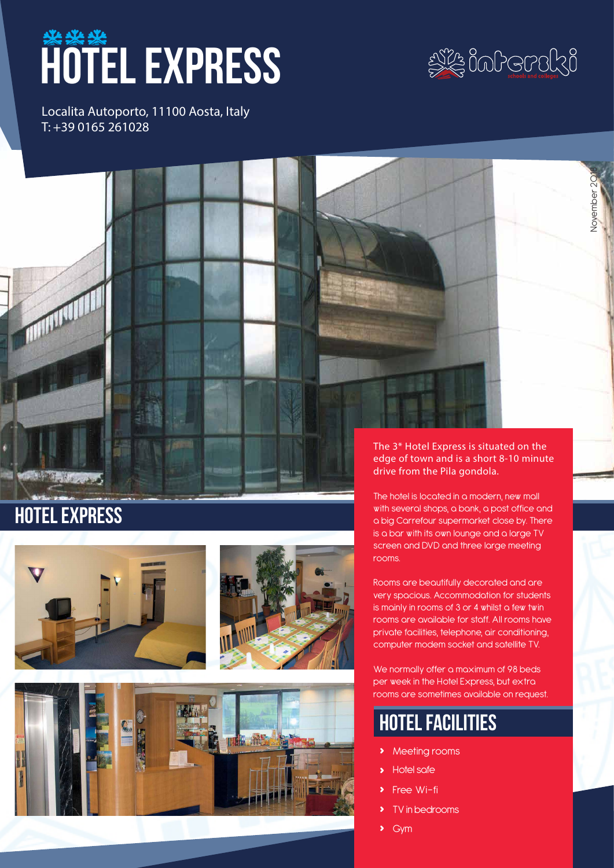# **HOTEL EXPRESS**



November 2018

Jovember 20

Localita Autoporto, 11100 Aosta, Italy T: +39 0165 261028



# **HOTEL EXPRESS**







The hotel is located in a modern, new mall with several shops, a bank, a post office and a big Carrefour supermarket close by. There is a bar with its own lounge and a large TV screen and DVD and three large meeting rooms.

Rooms are beautifully decorated and are very spacious. Accommodation for students is mainly in rooms of 3 or 4 whilst a few twin rooms are available for staff. All rooms have private facilities, telephone, air conditioning, computer modem socket and satellite TV.

We normally offer a maximum of 98 beds per week in the Hotel Express, but extra rooms are sometimes available on request.

# hotel facilities

- **›** Meeting rooms
- **›** Hotel safe
- **Free Wi-fi**
- **›** TV in bedrooms
- **›** Gym